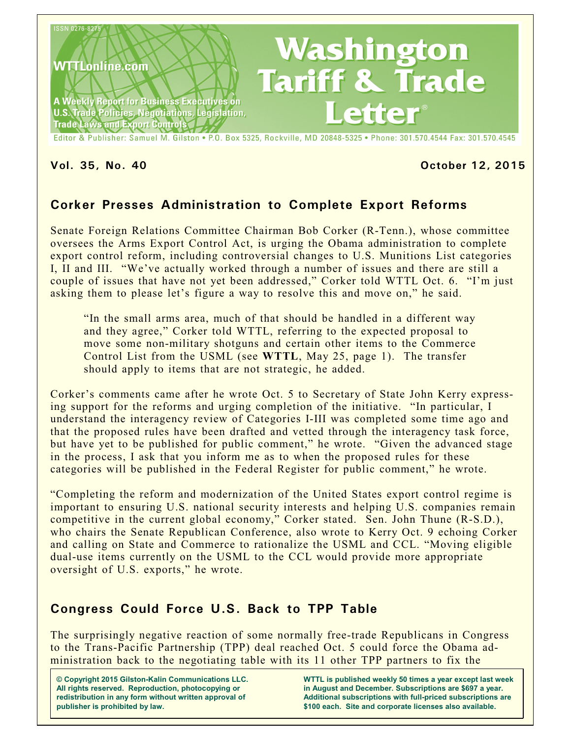

Editor & Publisher: Samuel M. Gilston . P.O. Box 5325, Rockville, MD 20848-5325 . Phone: 301.570.4544 Fax: 301.570.4545

#### **Vol. 35, No. 40 October 12, 2015**

# **Corker Presses Administration to Complete Export Reforms**

Senate Foreign Relations Committee Chairman Bob Corker (R-Tenn.), whose committee oversees the Arms Export Control Act, is urging the Obama administration to complete export control reform, including controversial changes to U.S. Munitions List categories I, II and III. "We've actually worked through a number of issues and there are still a couple of issues that have not yet been addressed," Corker told WTTL Oct. 6. "I'm just asking them to please let's figure a way to resolve this and move on," he said.

"In the small arms area, much of that should be handled in a different way and they agree," Corker told WTTL, referring to the expected proposal to move some non-military shotguns and certain other items to the Commerce Control List from the USML (see **WTTL**, May 25, page 1). The transfer should apply to items that are not strategic, he added.

Corker's comments came after he wrote Oct. 5 to Secretary of State John Kerry expressing support for the reforms and urging completion of the initiative. "In particular, I understand the interagency review of Categories I-III was completed some time ago and that the proposed rules have been drafted and vetted through the interagency task force, but have yet to be published for public comment," he wrote. "Given the advanced stage in the process, I ask that you inform me as to when the proposed rules for these categories will be published in the Federal Register for public comment," he wrote.

"Completing the reform and modernization of the United States export control regime is important to ensuring U.S. national security interests and helping U.S. companies remain competitive in the current global economy," Corker stated. Sen. John Thune (R-S.D.), who chairs the Senate Republican Conference, also wrote to Kerry Oct. 9 echoing Corker and calling on State and Commerce to rationalize the USML and CCL. "Moving eligible dual-use items currently on the USML to the CCL would provide more appropriate oversight of U.S. exports," he wrote.

### **Congress Could Force U.S. Back to TPP Table**

The surprisingly negative reaction of some normally free-trade Republicans in Congress to the Trans-Pacific Partnership (TPP) deal reached Oct. 5 could force the Obama administration back to the negotiating table with its 11 other TPP partners to fix the

**© Copyright 2015 Gilston-Kalin Communications LLC. All rights reserved. Reproduction, photocopying or redistribution in any form without written approval of publisher is prohibited by law.** 

**WTTL is published weekly 50 times a year except last week in August and December. Subscriptions are \$697 a year. Additional subscriptions with full-priced subscriptions are \$100 each. Site and corporate licenses also available.**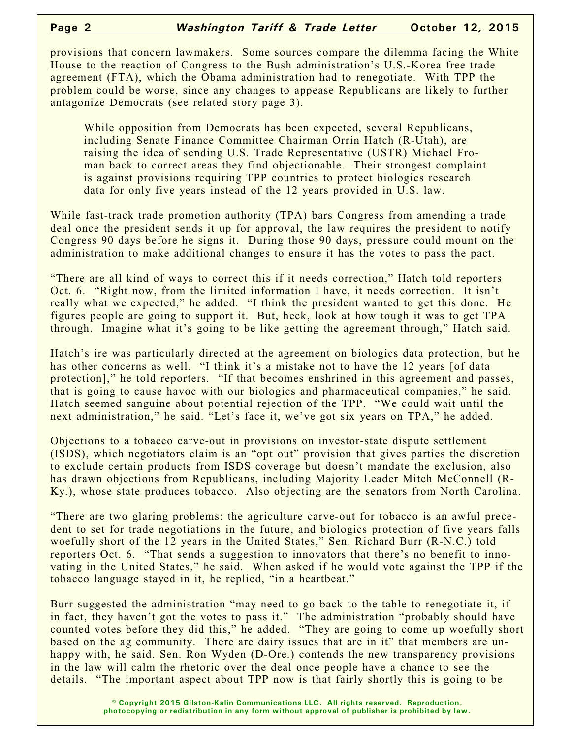provisions that concern lawmakers. Some sources compare the dilemma facing the White House to the reaction of Congress to the Bush administration's U.S.-Korea free trade agreement (FTA), which the Obama administration had to renegotiate. With TPP the problem could be worse, since any changes to appease Republicans are likely to further antagonize Democrats (see related story page 3).

While opposition from Democrats has been expected, several Republicans, including Senate Finance Committee Chairman Orrin Hatch (R-Utah), are raising the idea of sending U.S. Trade Representative (USTR) Michael Froman back to correct areas they find objectionable. Their strongest complaint is against provisions requiring TPP countries to protect biologics research data for only five years instead of the 12 years provided in U.S. law.

While fast-track trade promotion authority (TPA) bars Congress from amending a trade deal once the president sends it up for approval, the law requires the president to notify Congress 90 days before he signs it. During those 90 days, pressure could mount on the administration to make additional changes to ensure it has the votes to pass the pact.

"There are all kind of ways to correct this if it needs correction," Hatch told reporters Oct. 6. "Right now, from the limited information I have, it needs correction. It isn't really what we expected," he added. "I think the president wanted to get this done. He figures people are going to support it. But, heck, look at how tough it was to get TPA through. Imagine what it's going to be like getting the agreement through," Hatch said.

Hatch's ire was particularly directed at the agreement on biologics data protection, but he has other concerns as well. "I think it's a mistake not to have the 12 years [of data protection]," he told reporters. "If that becomes enshrined in this agreement and passes, that is going to cause havoc with our biologics and pharmaceutical companies," he said. Hatch seemed sanguine about potential rejection of the TPP. "We could wait until the next administration," he said. "Let's face it, we've got six years on TPA," he added.

Objections to a tobacco carve-out in provisions on investor-state dispute settlement (ISDS), which negotiators claim is an "opt out" provision that gives parties the discretion to exclude certain products from ISDS coverage but doesn't mandate the exclusion, also has drawn objections from Republicans, including Majority Leader Mitch McConnell (R-Ky.), whose state produces tobacco. Also objecting are the senators from North Carolina.

"There are two glaring problems: the agriculture carve-out for tobacco is an awful precedent to set for trade negotiations in the future, and biologics protection of five years falls woefully short of the 12 years in the United States," Sen. Richard Burr (R-N.C.) told reporters Oct. 6. "That sends a suggestion to innovators that there's no benefit to innovating in the United States," he said. When asked if he would vote against the TPP if the tobacco language stayed in it, he replied, "in a heartbeat."

Burr suggested the administration "may need to go back to the table to renegotiate it, if in fact, they haven't got the votes to pass it." The administration "probably should have counted votes before they did this," he added. "They are going to come up woefully short based on the ag community. There are dairy issues that are in it" that members are unhappy with, he said. Sen. Ron Wyden (D-Ore.) contends the new transparency provisions in the law will calm the rhetoric over the deal once people have a chance to see the details. "The important aspect about TPP now is that fairly shortly this is going to be

> **© Copyright 2015 Gilston-Kalin Communications LLC. All rights reserved. Reproduction, photocopying or redistribution in any form without approval of publisher is prohibited by law.**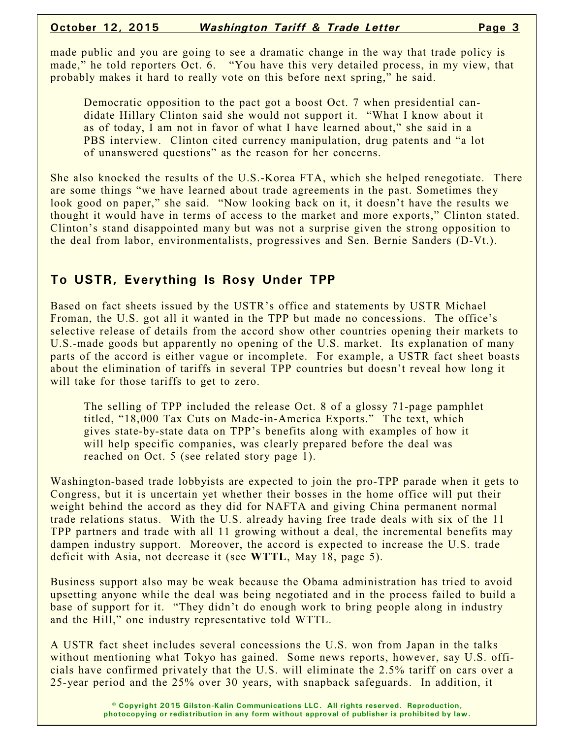made public and you are going to see a dramatic change in the way that trade policy is made," he told reporters Oct. 6. "You have this very detailed process, in my view, that probably makes it hard to really vote on this before next spring," he said.

Democratic opposition to the pact got a boost Oct. 7 when presidential candidate Hillary Clinton said she would not support it. "What I know about it as of today, I am not in favor of what I have learned about," she said in a PBS interview. Clinton cited currency manipulation, drug patents and "a lot of unanswered questions" as the reason for her concerns.

She also knocked the results of the U.S.-Korea FTA, which she helped renegotiate. There are some things "we have learned about trade agreements in the past. Sometimes they look good on paper," she said. "Now looking back on it, it doesn't have the results we thought it would have in terms of access to the market and more exports," Clinton stated. Clinton's stand disappointed many but was not a surprise given the strong opposition to the deal from labor, environmentalists, progressives and Sen. Bernie Sanders (D-Vt.).

## **To USTR, Everything Is Rosy Under TPP**

Based on fact sheets issued by the USTR's office and statements by USTR Michael Froman, the U.S. got all it wanted in the TPP but made no concessions. The office's selective release of details from the accord show other countries opening their markets to U.S.-made goods but apparently no opening of the U.S. market. Its explanation of many parts of the accord is either vague or incomplete. For example, a USTR fact sheet boasts about the elimination of tariffs in several TPP countries but doesn't reveal how long it will take for those tariffs to get to zero.

The selling of TPP included the release Oct. 8 of a glossy 71-page pamphlet titled, "18,000 Tax Cuts on Made-in-America Exports." The text, which gives state-by-state data on TPP's benefits along with examples of how it will help specific companies, was clearly prepared before the deal was reached on Oct. 5 (see related story page 1).

Washington-based trade lobbyists are expected to join the pro-TPP parade when it gets to Congress, but it is uncertain yet whether their bosses in the home office will put their weight behind the accord as they did for NAFTA and giving China permanent normal trade relations status. With the U.S. already having free trade deals with six of the 11 TPP partners and trade with all 11 growing without a deal, the incremental benefits may dampen industry support. Moreover, the accord is expected to increase the U.S. trade deficit with Asia, not decrease it (see **WTTL**, May 18, page 5).

Business support also may be weak because the Obama administration has tried to avoid upsetting anyone while the deal was being negotiated and in the process failed to build a base of support for it. "They didn't do enough work to bring people along in industry and the Hill," one industry representative told WTTL.

A USTR fact sheet includes several concessions the U.S. won from Japan in the talks without mentioning what Tokyo has gained. Some news reports, however, say U.S. officials have confirmed privately that the U.S. will eliminate the 2.5% tariff on cars over a 25-year period and the 25% over 30 years, with snapback safeguards. In addition, it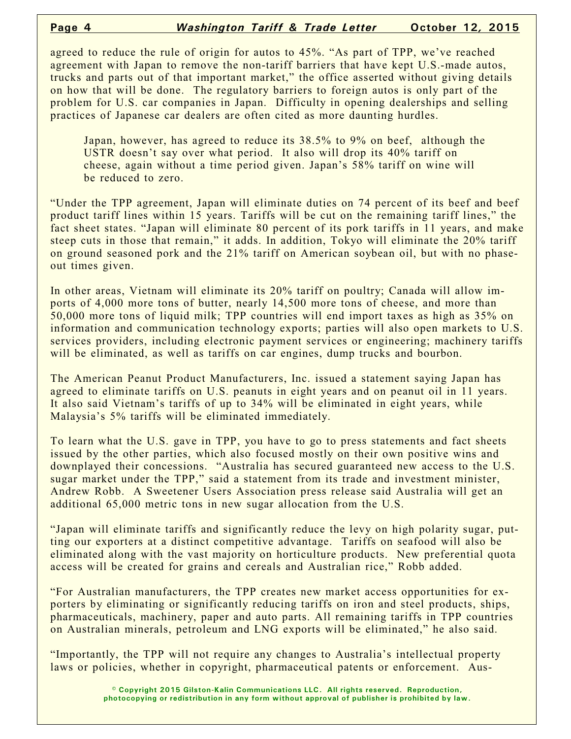agreed to reduce the rule of origin for autos to 45%. "As part of TPP, we've reached agreement with Japan to remove the non-tariff barriers that have kept U.S.-made autos, trucks and parts out of that important market," the office asserted without giving details on how that will be done. The regulatory barriers to foreign autos is only part of the problem for U.S. car companies in Japan. Difficulty in opening dealerships and selling practices of Japanese car dealers are often cited as more daunting hurdles.

Japan, however, has agreed to reduce its 38.5% to 9% on beef, although the USTR doesn't say over what period. It also will drop its 40% tariff on cheese, again without a time period given. Japan's 58% tariff on wine will be reduced to zero.

"Under the TPP agreement, Japan will eliminate duties on 74 percent of its beef and beef product tariff lines within 15 years. Tariffs will be cut on the remaining tariff lines," the fact sheet states. "Japan will eliminate 80 percent of its pork tariffs in 11 years, and make steep cuts in those that remain," it adds. In addition, Tokyo will eliminate the 20% tariff on ground seasoned pork and the 21% tariff on American soybean oil, but with no phaseout times given.

In other areas, Vietnam will eliminate its 20% tariff on poultry; Canada will allow imports of 4,000 more tons of butter, nearly 14,500 more tons of cheese, and more than 50,000 more tons of liquid milk; TPP countries will end import taxes as high as 35% on information and communication technology exports; parties will also open markets to U.S. services providers, including electronic payment services or engineering; machinery tariffs will be eliminated, as well as tariffs on car engines, dump trucks and bourbon.

The American Peanut Product Manufacturers, Inc. issued a statement saying Japan has agreed to eliminate tariffs on U.S. peanuts in eight years and on peanut oil in 11 years. It also said Vietnam's tariffs of up to 34% will be eliminated in eight years, while Malaysia's 5% tariffs will be eliminated immediately.

To learn what the U.S. gave in TPP, you have to go to press statements and fact sheets issued by the other parties, which also focused mostly on their own positive wins and downplayed their concessions. "Australia has secured guaranteed new access to the U.S. sugar market under the TPP," said a statement from its trade and investment minister, Andrew Robb. A Sweetener Users Association press release said Australia will get an additional 65,000 metric tons in new sugar allocation from the U.S.

"Japan will eliminate tariffs and significantly reduce the levy on high polarity sugar, putting our exporters at a distinct competitive advantage. Tariffs on seafood will also be eliminated along with the vast majority on horticulture products. New preferential quota access will be created for grains and cereals and Australian rice," Robb added.

"For Australian manufacturers, the TPP creates new market access opportunities for exporters by eliminating or significantly reducing tariffs on iron and steel products, ships, pharmaceuticals, machinery, paper and auto parts. All remaining tariffs in TPP countries on Australian minerals, petroleum and LNG exports will be eliminated," he also said.

"Importantly, the TPP will not require any changes to Australia's intellectual property laws or policies, whether in copyright, pharmaceutical patents or enforcement. Aus-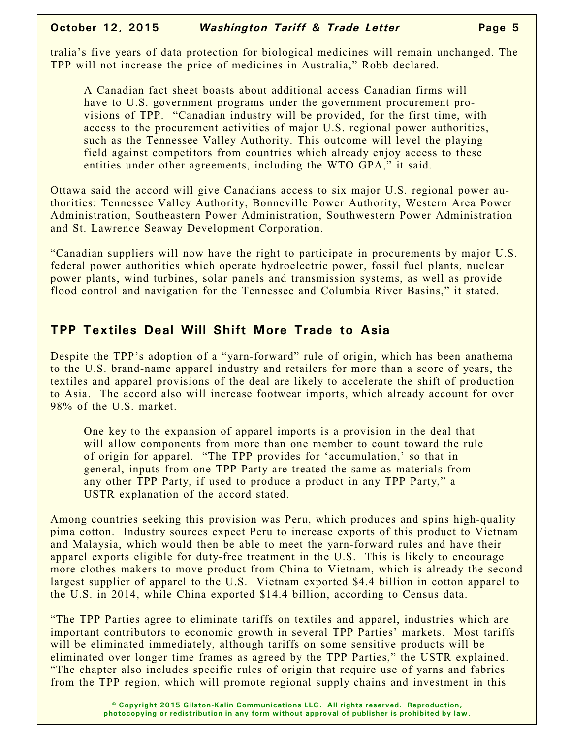tralia's five years of data protection for biological medicines will remain unchanged. The TPP will not increase the price of medicines in Australia," Robb declared.

A Canadian fact sheet boasts about additional access Canadian firms will have to U.S. government programs under the government procurement provisions of TPP. "Canadian industry will be provided, for the first time, with access to the procurement activities of major U.S. regional power authorities, such as the Tennessee Valley Authority. This outcome will level the playing field against competitors from countries which already enjoy access to these entities under other agreements, including the WTO GPA," it said.

Ottawa said the accord will give Canadians access to six major U.S. regional power authorities: Tennessee Valley Authority, Bonneville Power Authority, Western Area Power Administration, Southeastern Power Administration, Southwestern Power Administration and St. Lawrence Seaway Development Corporation.

"Canadian suppliers will now have the right to participate in procurements by major U.S. federal power authorities which operate hydroelectric power, fossil fuel plants, nuclear power plants, wind turbines, solar panels and transmission systems, as well as provide flood control and navigation for the Tennessee and Columbia River Basins," it stated.

### **TPP Textiles Deal Will Shift More Trade to Asia**

Despite the TPP's adoption of a "yarn-forward" rule of origin, which has been anathema to the U.S. brand-name apparel industry and retailers for more than a score of years, the textiles and apparel provisions of the deal are likely to accelerate the shift of production to Asia. The accord also will increase footwear imports, which already account for over 98% of the U.S. market.

One key to the expansion of apparel imports is a provision in the deal that will allow components from more than one member to count toward the rule of origin for apparel. "The TPP provides for 'accumulation,' so that in general, inputs from one TPP Party are treated the same as materials from any other TPP Party, if used to produce a product in any TPP Party," a USTR explanation of the accord stated.

Among countries seeking this provision was Peru, which produces and spins high-quality pima cotton. Industry sources expect Peru to increase exports of this product to Vietnam and Malaysia, which would then be able to meet the yarn-forward rules and have their apparel exports eligible for duty-free treatment in the U.S. This is likely to encourage more clothes makers to move product from China to Vietnam, which is already the second largest supplier of apparel to the U.S. Vietnam exported \$4.4 billion in cotton apparel to the U.S. in 2014, while China exported \$14.4 billion, according to Census data.

"The TPP Parties agree to eliminate tariffs on textiles and apparel, industries which are important contributors to economic growth in several TPP Parties' markets. Most tariffs will be eliminated immediately, although tariffs on some sensitive products will be eliminated over longer time frames as agreed by the TPP Parties," the USTR explained. "The chapter also includes specific rules of origin that require use of yarns and fabrics from the TPP region, which will promote regional supply chains and investment in this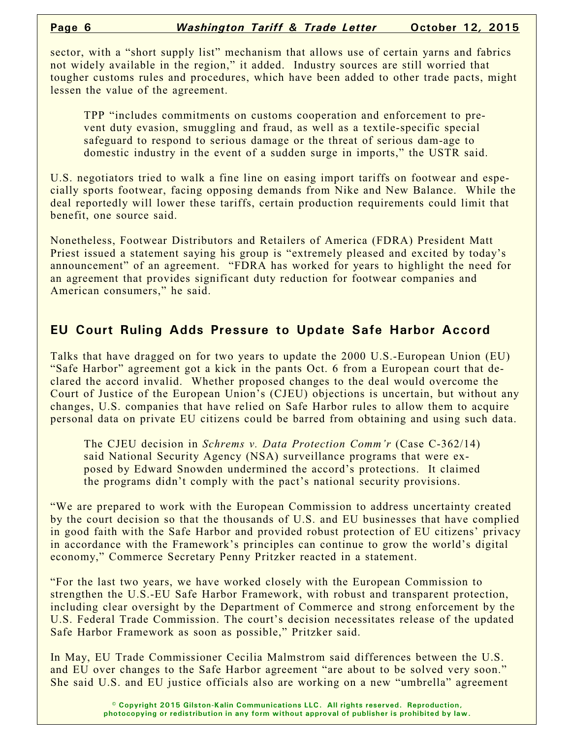sector, with a "short supply list" mechanism that allows use of certain yarns and fabrics not widely available in the region," it added. Industry sources are still worried that tougher customs rules and procedures, which have been added to other trade pacts, might lessen the value of the agreement.

TPP "includes commitments on customs cooperation and enforcement to prevent duty evasion, smuggling and fraud, as well as a textile-specific special safeguard to respond to serious damage or the threat of serious dam-age to domestic industry in the event of a sudden surge in imports," the USTR said.

U.S. negotiators tried to walk a fine line on easing import tariffs on footwear and especially sports footwear, facing opposing demands from Nike and New Balance. While the deal reportedly will lower these tariffs, certain production requirements could limit that benefit, one source said.

Nonetheless, Footwear Distributors and Retailers of America (FDRA) President Matt Priest issued a statement saying his group is "extremely pleased and excited by today's announcement" of an agreement. "FDRA has worked for years to highlight the need for an agreement that provides significant duty reduction for footwear companies and American consumers," he said.

# **EU Court Ruling Adds Pressure to Update Safe Harbor Accord**

Talks that have dragged on for two years to update the 2000 U.S.-European Union (EU) "Safe Harbor" agreement got a kick in the pants Oct. 6 from a European court that declared the accord invalid. Whether proposed changes to the deal would overcome the Court of Justice of the European Union's (CJEU) objections is uncertain, but without any changes, U.S. companies that have relied on Safe Harbor rules to allow them to acquire personal data on private EU citizens could be barred from obtaining and using such data.

The CJEU decision in *Schrems v. Data Protection Comm'r* (Case C-362/14) said National Security Agency (NSA) surveillance programs that were exposed by Edward Snowden undermined the accord's protections. It claimed the programs didn't comply with the pact's national security provisions.

"We are prepared to work with the European Commission to address uncertainty created by the court decision so that the thousands of U.S. and EU businesses that have complied in good faith with the Safe Harbor and provided robust protection of EU citizens' privacy in accordance with the Framework's principles can continue to grow the world's digital economy," Commerce Secretary Penny Pritzker reacted in a statement.

"For the last two years, we have worked closely with the European Commission to strengthen the U.S.-EU Safe Harbor Framework, with robust and transparent protection, including clear oversight by the Department of Commerce and strong enforcement by the U.S. Federal Trade Commission. The court's decision necessitates release of the updated Safe Harbor Framework as soon as possible," Pritzker said.

In May, EU Trade Commissioner Cecilia Malmstrom said differences between the U.S. and EU over changes to the Safe Harbor agreement "are about to be solved very soon." She said U.S. and EU justice officials also are working on a new "umbrella" agreement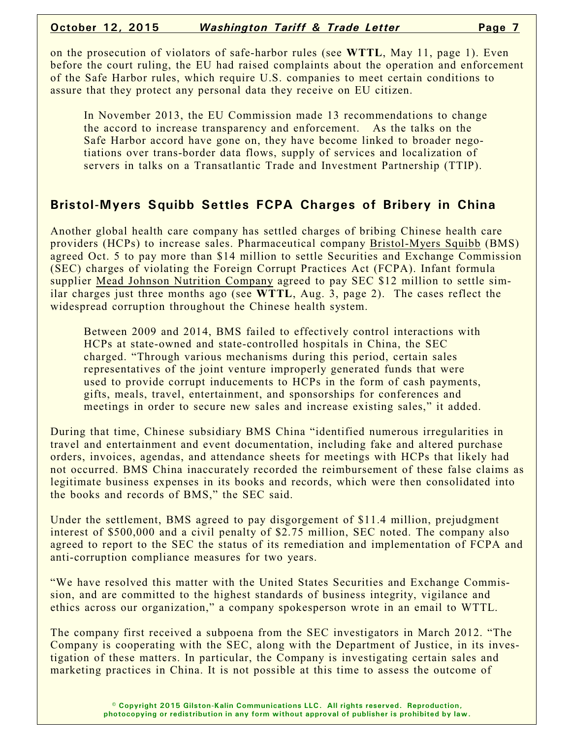on the prosecution of violators of safe-harbor rules (see **WTTL**, May 11, page 1). Even before the court ruling, the EU had raised complaints about the operation and enforcement of the Safe Harbor rules, which require U.S. companies to meet certain conditions to assure that they protect any personal data they receive on EU citizen.

In November 2013, the EU Commission made 13 recommendations to change the accord to increase transparency and enforcement. As the talks on the Safe Harbor accord have gone on, they have become linked to broader negotiations over trans-border data flows, supply of services and localization of servers in talks on a Transatlantic Trade and Investment Partnership (TTIP).

### **Bristol-Myers Squibb Settles FCPA Charges of Bribery in China**

Another global health care company has settled charges of bribing Chinese health care providers (HCPs) to increase sales. Pharmaceutical company Bristol-Myers Squibb (BMS) agreed Oct. 5 to pay more than \$14 million to settle Securities and Exchange Commission (SEC) charges of violating the Foreign Corrupt Practices Act (FCPA). Infant formula supplier Mead Johnson Nutrition Company agreed to pay SEC \$12 million to settle similar charges just three months ago (see **WTTL**, Aug. 3, page 2). The cases reflect the widespread corruption throughout the Chinese health system.

Between 2009 and 2014, BMS failed to effectively control interactions with HCPs at state-owned and state-controlled hospitals in China, the SEC charged. "Through various mechanisms during this period, certain sales representatives of the joint venture improperly generated funds that were used to provide corrupt inducements to HCPs in the form of cash payments, gifts, meals, travel, entertainment, and sponsorships for conferences and meetings in order to secure new sales and increase existing sales," it added.

During that time, Chinese subsidiary BMS China "identified numerous irregularities in travel and entertainment and event documentation, including fake and altered purchase orders, invoices, agendas, and attendance sheets for meetings with HCPs that likely had not occurred. BMS China inaccurately recorded the reimbursement of these false claims as legitimate business expenses in its books and records, which were then consolidated into the books and records of BMS," the SEC said.

Under the settlement, BMS agreed to pay disgorgement of \$11.4 million, prejudgment interest of \$500,000 and a civil penalty of \$2.75 million, SEC noted. The company also agreed to report to the SEC the status of its remediation and implementation of FCPA and anti-corruption compliance measures for two years.

"We have resolved this matter with the United States Securities and Exchange Commission, and are committed to the highest standards of business integrity, vigilance and ethics across our organization," a company spokesperson wrote in an email to WTTL.

The company first received a subpoena from the SEC investigators in March 2012. "The Company is cooperating with the SEC, along with the Department of Justice, in its investigation of these matters. In particular, the Company is investigating certain sales and marketing practices in China. It is not possible at this time to assess the outcome of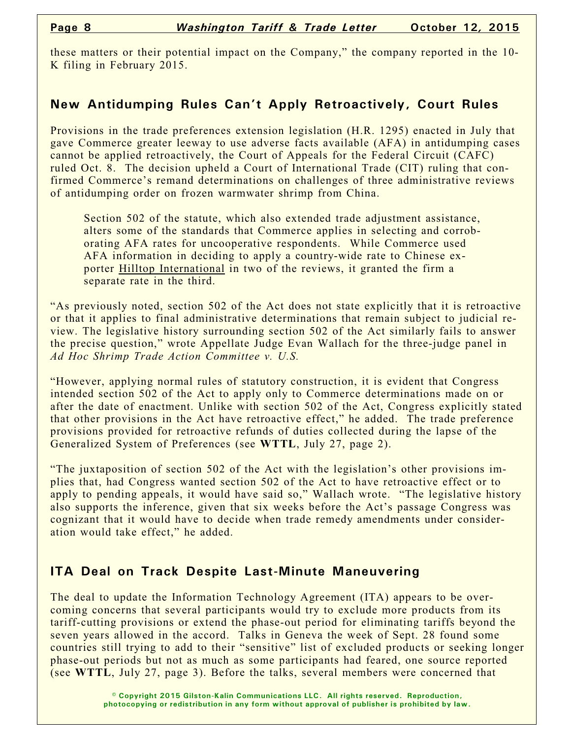these matters or their potential impact on the Company," the company reported in the 10- K filing in February 2015.

#### **New Antidumping Rules Can't Apply Retroactively, Court Rules**

Provisions in the trade preferences extension legislation (H.R. 1295) enacted in July that gave Commerce greater leeway to use adverse facts available (AFA) in antidumping cases cannot be applied retroactively, the Court of Appeals for the Federal Circuit (CAFC) ruled Oct. 8. The decision upheld a Court of International Trade (CIT) ruling that confirmed Commerce's remand determinations on challenges of three administrative reviews of antidumping order on frozen warmwater shrimp from China.

Section 502 of the statute, which also extended trade adjustment assistance, alters some of the standards that Commerce applies in selecting and corroborating AFA rates for uncooperative respondents. While Commerce used AFA information in deciding to apply a country-wide rate to Chinese exporter Hilltop International in two of the reviews, it granted the firm a separate rate in the third.

"As previously noted, section 502 of the Act does not state explicitly that it is retroactive or that it applies to final administrative determinations that remain subject to judicial review. The legislative history surrounding section 502 of the Act similarly fails to answer the precise question," wrote Appellate Judge Evan Wallach for the three-judge panel in *Ad Hoc Shrimp Trade Action Committee v. U.S.*

"However, applying normal rules of statutory construction, it is evident that Congress intended section 502 of the Act to apply only to Commerce determinations made on or after the date of enactment. Unlike with section 502 of the Act, Congress explicitly stated that other provisions in the Act have retroactive effect," he added. The trade preference provisions provided for retroactive refunds of duties collected during the lapse of the Generalized System of Preferences (see **WTTL**, July 27, page 2).

"The juxtaposition of section 502 of the Act with the legislation's other provisions implies that, had Congress wanted section 502 of the Act to have retroactive effect or to apply to pending appeals, it would have said so," Wallach wrote. "The legislative history also supports the inference, given that six weeks before the Act's passage Congress was cognizant that it would have to decide when trade remedy amendments under consideration would take effect," he added.

### **ITA Deal on Track Despite Last-Minute Maneuvering**

The deal to update the Information Technology Agreement (ITA) appears to be overcoming concerns that several participants would try to exclude more products from its tariff-cutting provisions or extend the phase-out period for eliminating tariffs beyond the seven years allowed in the accord. Talks in Geneva the week of Sept. 28 found some countries still trying to add to their "sensitive" list of excluded products or seeking longer phase-out periods but not as much as some participants had feared, one source reported (see **WTTL**, July 27, page 3). Before the talks, several members were concerned that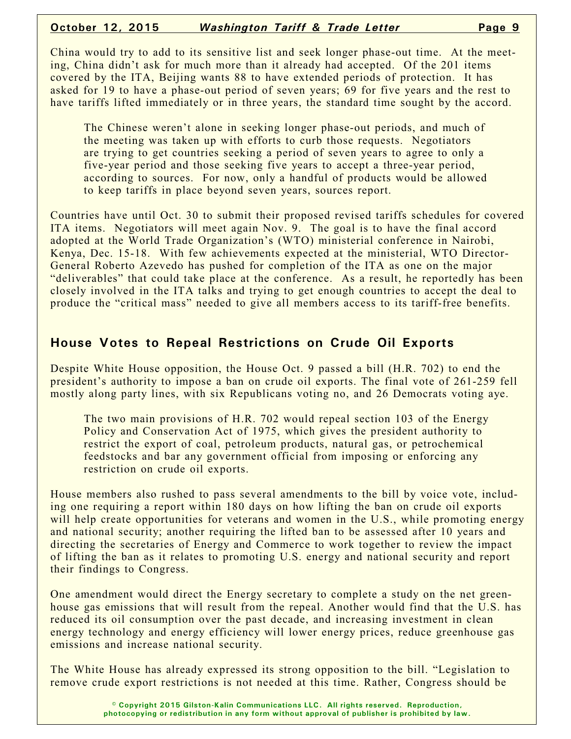#### **October 12, 2015** *Washington Tariff & Trade Letter* **Page 9**

China would try to add to its sensitive list and seek longer phase-out time. At the meeting, China didn't ask for much more than it already had accepted. Of the 201 items covered by the ITA, Beijing wants 88 to have extended periods of protection. It has asked for 19 to have a phase-out period of seven years; 69 for five years and the rest to have tariffs lifted immediately or in three years, the standard time sought by the accord.

The Chinese weren't alone in seeking longer phase-out periods, and much of the meeting was taken up with efforts to curb those requests. Negotiators are trying to get countries seeking a period of seven years to agree to only a five-year period and those seeking five years to accept a three-year period, according to sources. For now, only a handful of products would be allowed to keep tariffs in place beyond seven years, sources report.

Countries have until Oct. 30 to submit their proposed revised tariffs schedules for covered ITA items. Negotiators will meet again Nov. 9. The goal is to have the final accord adopted at the World Trade Organization's (WTO) ministerial conference in Nairobi, Kenya, Dec. 15-18. With few achievements expected at the ministerial, WTO Director-General Roberto Azevedo has pushed for completion of the ITA as one on the major "deliverables" that could take place at the conference. As a result, he reportedly has been closely involved in the ITA talks and trying to get enough countries to accept the deal to produce the "critical mass" needed to give all members access to its tariff-free benefits.

## **House Votes to Repeal Restrictions on Crude Oil Exports**

Despite White House opposition, the House Oct. 9 passed a bill (H.R. 702) to end the president's authority to impose a ban on crude oil exports. The final vote of 261-259 fell mostly along party lines, with six Republicans voting no, and 26 Democrats voting aye.

The two main provisions of H.R. 702 would repeal section 103 of the Energy Policy and Conservation Act of 1975, which gives the president authority to restrict the export of coal, petroleum products, natural gas, or petrochemical feedstocks and bar any government official from imposing or enforcing any restriction on crude oil exports.

House members also rushed to pass several amendments to the bill by voice vote, including one requiring a report within 180 days on how lifting the ban on crude oil exports will help create opportunities for veterans and women in the U.S., while promoting energy and national security; another requiring the lifted ban to be assessed after 10 years and directing the secretaries of Energy and Commerce to work together to review the impact of lifting the ban as it relates to promoting U.S. energy and national security and report their findings to Congress.

One amendment would direct the Energy secretary to complete a study on the net greenhouse gas emissions that will result from the repeal. Another would find that the U.S. has reduced its oil consumption over the past decade, and increasing investment in clean energy technology and energy efficiency will lower energy prices, reduce greenhouse gas emissions and increase national security.

The White House has already expressed its strong opposition to the bill. "Legislation to remove crude export restrictions is not needed at this time. Rather, Congress should be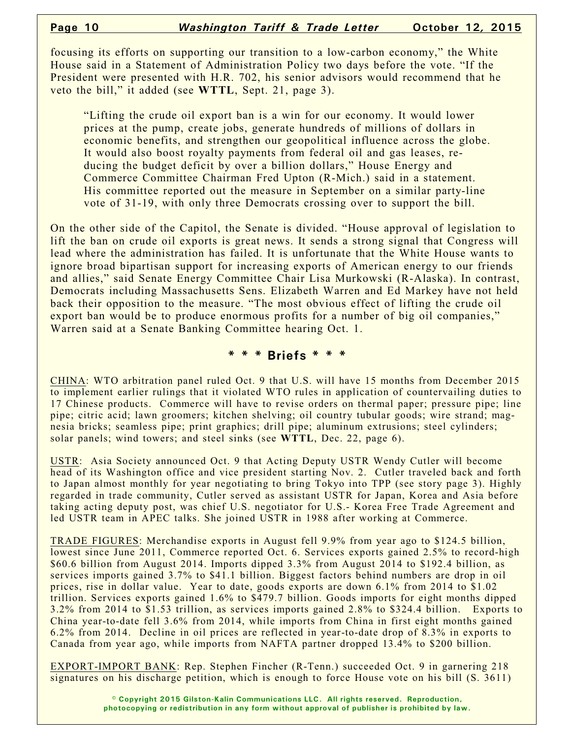focusing its efforts on supporting our transition to a low-carbon economy," the White House said in a Statement of Administration Policy two days before the vote. "If the President were presented with H.R. 702, his senior advisors would recommend that he veto the bill," it added (see **WTTL**, Sept. 21, page 3).

"Lifting the crude oil export ban is a win for our economy. It would lower prices at the pump, create jobs, generate hundreds of millions of dollars in economic benefits, and strengthen our geopolitical influence across the globe. It would also boost royalty payments from federal oil and gas leases, reducing the budget deficit by over a billion dollars," House Energy and Commerce Committee Chairman Fred Upton (R-Mich.) said in a statement. His committee reported out the measure in September on a similar party-line vote of 31-19, with only three Democrats crossing over to support the bill.

On the other side of the Capitol, the Senate is divided. "House approval of legislation to lift the ban on crude oil exports is great news. It sends a strong signal that Congress will lead where the administration has failed. It is unfortunate that the White House wants to ignore broad bipartisan support for increasing exports of American energy to our friends and allies," said Senate Energy Committee Chair Lisa Murkowski (R-Alaska). In contrast, Democrats including Massachusetts Sens. Elizabeth Warren and Ed Markey have not held back their opposition to the measure. "The most obvious effect of lifting the crude oil export ban would be to produce enormous profits for a number of big oil companies," Warren said at a Senate Banking Committee hearing Oct. 1.

#### **\* \* \* Briefs \* \* \***

CHINA: WTO arbitration panel ruled Oct. 9 that U.S. will have 15 months from December 2015 to implement earlier rulings that it violated WTO rules in application of countervailing duties to 17 Chinese products. Commerce will have to revise orders on thermal paper; pressure pipe; line pipe; citric acid; lawn groomers; kitchen shelving; oil country tubular goods; wire strand; magnesia bricks; seamless pipe; print graphics; drill pipe; aluminum extrusions; steel cylinders; solar panels; wind towers; and steel sinks (see **WTTL**, Dec. 22, page 6).

USTR: Asia Society announced Oct. 9 that Acting Deputy USTR Wendy Cutler will become head of its Washington office and vice president starting Nov. 2. Cutler traveled back and forth to Japan almost monthly for year negotiating to bring Tokyo into TPP (see story page 3). Highly regarded in trade community, Cutler served as assistant USTR for Japan, Korea and Asia before taking acting deputy post, was chief U.S. negotiator for U.S.- Korea Free Trade Agreement and led USTR team in APEC talks. She joined USTR in 1988 after working at Commerce.

TRADE FIGURES: Merchandise exports in August fell 9.9% from year ago to \$124.5 billion, lowest since June 2011, Commerce reported Oct. 6. Services exports gained 2.5% to record-high \$60.6 billion from August 2014. Imports dipped 3.3% from August 2014 to \$192.4 billion, as services imports gained 3.7% to \$41.1 billion. Biggest factors behind numbers are drop in oil prices, rise in dollar value. Year to date, goods exports are down 6.1% from 2014 to \$1.02 trillion. Services exports gained 1.6% to \$479.7 billion. Goods imports for eight months dipped 3.2% from 2014 to \$1.53 trillion, as services imports gained 2.8% to \$324.4 billion. Exports to China year-to-date fell 3.6% from 2014, while imports from China in first eight months gained 6.2% from 2014. Decline in oil prices are reflected in year-to-date drop of 8.3% in exports to Canada from year ago, while imports from NAFTA partner dropped 13.4% to \$200 billion.

EXPORT-IMPORT BANK: Rep. Stephen Fincher (R-Tenn.) succeeded Oct. 9 in garnering 218 signatures on his discharge petition, which is enough to force House vote on his bill (S. 3611)

> **© Copyright 2015 Gilston-Kalin Communications LLC. All rights reserved. Reproduction, photocopying or redistribution in any form without approval of publisher is prohibited by law.**